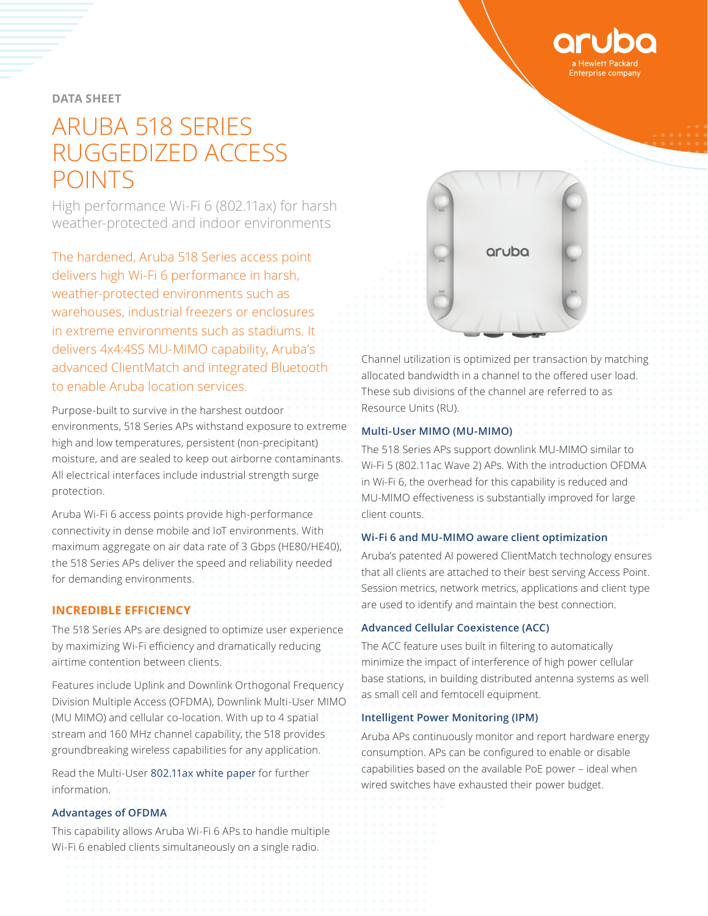## **DATA SHEET**

# ARUBA 518 SERIES RUGGEDIZED ACCESS POINTS

High performance Wi-Fi 6 (802.11ax) for harsh weather-protected and indoor environments

The hardened, Aruba 518 Series access point delivers high Wi-Fi 6 performance in harsh, weather-protected environments such as warehouses, industrial freezers or enclosures in extreme environments such as stadiums. It delivers 4x4:4SS MU-MIMO capability, Aruba's advanced ClientMatch and integrated Bluetooth to enable Aruba location services.

Purpose-built to survive in the harshest outdoor environments, 518 Series APs withstand exposure to extreme high and low temperatures, persistent (non-precipitant) moisture, and are sealed to keep out airborne contaminants. All electrical interfaces include industrial strength surge protection.

Aruba Wi-Fi 6 access points provide high-performance connectivity in dense mobile and IoT environments. With maximum aggregate on air data rate of 3 Gbps (HE80/HE40), the 518 Series APs deliver the speed and reliability needed for demanding environments.

## **INCREDIBLE EFFICIENCY**

The 518 Series APs are designed to optimize user experience by maximizing Wi-Fi efficiency and dramatically reducing airtime contention between clients.

Features include Uplink and Downlink Orthogonal Frequency Division Multiple Access (OFDMA), Downlink Multi-User MIMO (MU MIMO) and cellular co-location. With up to 4 spatial stream and 160 MHz channel capability, the 518 provides groundbreaking wireless capabilities for any application.

Read the Multi-User [802.11ax white paper](https://www.arubanetworks.com/assets/wp/WP_Multi-User-802.11ax.pdf) for further information.

#### **Advantages of OFDMA**

This capability allows Aruba Wi-Fi 6 APs to handle multiple Wi-Fi 6 enabled clients simultaneously on a single radio.



Channel utilization is optimized per transaction by matching allocated bandwidth in a channel to the offered user load. These sub divisions of the channel are referred to as Resource Units (RU).

#### **Multi-User MIMO (MU-MIMO)**

The 518 Series APs support downlink MU-MIMO similar to Wi-Fi 5 (802.11ac Wave 2) APs. With the introduction OFDMA in Wi-Fi 6, the overhead for this capability is reduced and MU‑MIMO effectiveness is substantially improved for large client counts.

#### **Wi-Fi 6 and MU-MIMO aware client optimization**

Aruba's patented AI powered ClientMatch technology ensures that all clients are attached to their best serving Access Point. Session metrics, network metrics, applications and client type are used to identify and maintain the best connection.

#### **Advanced Cellular Coexistence (ACC)**

The ACC feature uses built in filtering to automatically minimize the impact of interference of high power cellular base stations, in building distributed antenna systems as well as small cell and femtocell equipment.

#### **Intelligent Power Monitoring (IPM)**

Aruba APs continuously monitor and report hardware energy consumption. APs can be configured to enable or disable capabilities based on the available PoE power – ideal when wired switches have exhausted their power budget.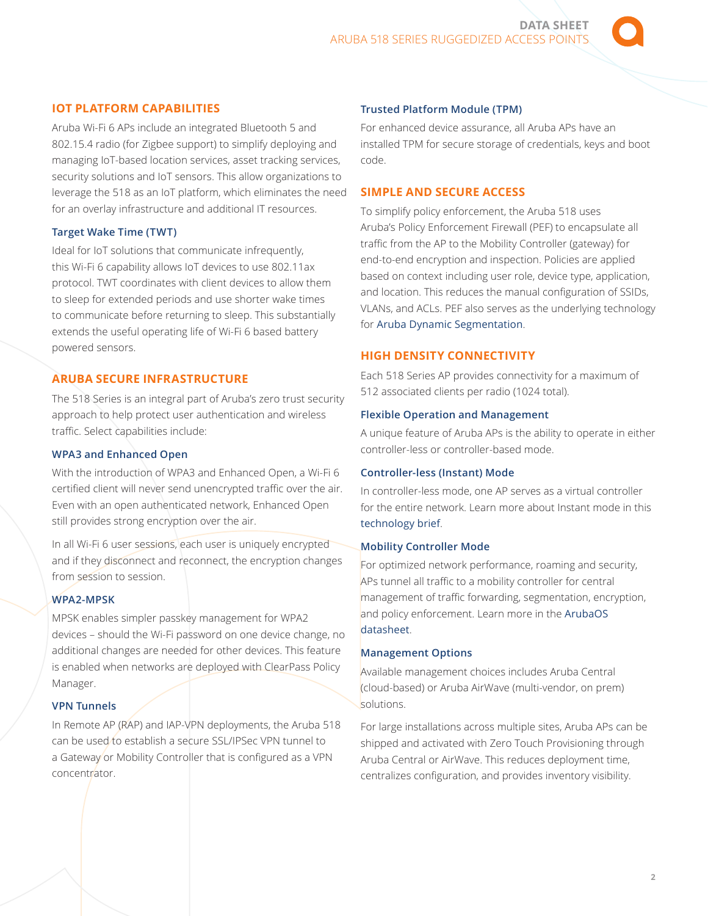Aruba Wi-Fi 6 APs include an integrated Bluetooth 5 and 802.15.4 radio (for Zigbee support) to simplify deploying and managing IoT-based location services, asset tracking services, security solutions and IoT sensors. This allow organizations to leverage the 518 as an IoT platform, which eliminates the need for an overlay infrastructure and additional IT resources.

#### **Target Wake Time (TWT)**

Ideal for IoT solutions that communicate infrequently, this Wi-Fi 6 capability allows IoT devices to use 802.11ax protocol. TWT coordinates with client devices to allow them to sleep for extended periods and use shorter wake times to communicate before returning to sleep. This substantially extends the useful operating life of Wi-Fi 6 based battery powered sensors.

## **ARUBA SECURE INFRASTRUCTURE**

The 518 Series is an integral part of Aruba's zero trust security approach to help protect user authentication and wireless traffic. Select capabilities include:

#### **WPA3 and Enhanced Open**

With the introduction of WPA3 and Enhanced Open, a Wi-Fi 6 certified client will never send unencrypted traffic over the air. Even with an open authenticated network, Enhanced Open still provides strong encryption over the air.

In all Wi-Fi 6 user sessions, each user is uniquely encrypted and if they disconnect and reconnect, the encryption changes from session to session.

#### **WPA2-MPSK**

MPSK enables simpler passkey management for WPA2 devices – should the Wi-Fi password on one device change, no additional changes are needed for other devices. This feature is enabled when networks are deployed with ClearPass Policy Manager.

# **VPN Tunnels**

In Remote AP (RAP) and IAP-VPN deployments, the Aruba 518 can be used to establish a secure SSL/IPSec VPN tunnel to a Gateway or Mobility Controller that is configured as a VPN concentrator.

#### **Trusted Platform Module (TPM)**

For enhanced device assurance, all Aruba APs have an installed TPM for secure storage of credentials, keys and boot code.

## **SIMPLE AND SECURE ACCESS**

To simplify policy enforcement, the Aruba 518 uses Aruba's Policy Enforcement Firewall (PEF) to encapsulate all traffic from the AP to the Mobility Controller (gateway) for end-to-end encryption and inspection. Policies are applied based on context including user role, device type, application, and location. This reduces the manual configuration of SSIDs, VLANs, and ACLs. PEF also serves as the underlying technology for [Aruba Dynamic Segmentation](https://www.arubanetworks.com/solutions/dynamic-segmentation/).

## **HIGH DENSITY CONNECTIVITY**

Each 518 Series AP provides connectivity for a maximum of 512 associated clients per radio (1024 total).

#### **Flexible Operation and Management**

A unique feature of Aruba APs is the ability to operate in either controller-less or controller-based mode.

#### **Controller-less (Instant) Mode**

In controller-less mode, one AP serves as a virtual controller for the entire network. Learn more about Instant mode in this [technology brief](https://www.arubanetworks.com/assets/tg/TB_Aruba-Instant-Mode.pdf).

#### **Mobility Controller Mode**

For optimized network performance, roaming and security, APs tunnel all traffic to a mobility controller for central management of traffic forwarding, segmentation, encryption, and policy enforcement. Learn more in the [ArubaOS](https://www.arubanetworks.com/assets/ds/DS_ArubaOS.pdf)  [datasheet](https://www.arubanetworks.com/assets/ds/DS_ArubaOS.pdf).

#### **Management Options**

Available management choices includes Aruba Central (cloud-based) or Aruba AirWave (multi-vendor, on prem) solutions.

For large installations across multiple sites, Aruba APs can be shipped and activated with Zero Touch Provisioning through Aruba Central or AirWave. This reduces deployment time, centralizes configuration, and provides inventory visibility.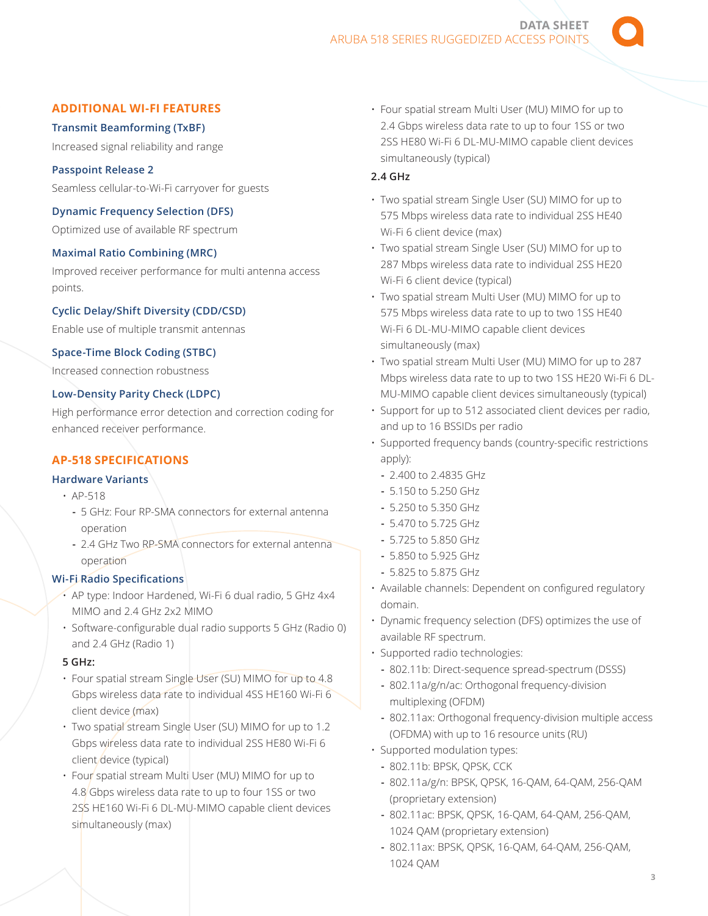# **ADDITIONAL WI-FI FEATURES**

#### **Transmit Beamforming (TxBF)**

Increased signal reliability and range

#### **Passpoint Release 2**

Seamless cellular-to-Wi-Fi carryover for guests

# **Dynamic Frequency Selection (DFS)**

Optimized use of available RF spectrum

## **Maximal Ratio Combining (MRC)**

Improved receiver performance for multi antenna access points.

## **Cyclic Delay/Shift Diversity (CDD/CSD)**

Enable use of multiple transmit antennas

## **Space-Time Block Coding (STBC)**

Increased connection robustness

## **Low-Density Parity Check (LDPC)**

High performance error detection and correction coding for enhanced receiver performance.

# **AP-518 SPECIFICATIONS**

#### **Hardware Variants**

- AP-518
	- **-** 5 GHz: Four RP-SMA connectors for external antenna operation
	- **-** 2.4 GHz Two RP-SMA connectors for external antenna operation

## **Wi-Fi Radio Specifications**

- AP type: Indoor Hardened, Wi-Fi 6 dual radio, 5 GHz 4x4 MIMO and 2.4 GHz 2x2 MIMO
- Software-configurable dual radio supports 5 GHz (Radio 0) and 2.4 GHz (Radio 1)

#### **5 GHz:**

- Four spatial stream Single User (SU) MIMO for up to 4.8 Gbps wireless data rate to individual 4SS HE160 Wi-Fi 6 client device (max)
- Two spatial stream Single User (SU) MIMO for up to 1.2 Gbps wireless data rate to individual 2SS HE80 Wi-Fi 6 client device (typical)
- Four spatial stream Multi User (MU) MIMO for up to 4.8 Gbps wireless data rate to up to four 1SS or two 2SS HE160 Wi-Fi 6 DL-MU-MIMO capable client devices simultaneously (max)

• Four spatial stream Multi User (MU) MIMO for up to 2.4 Gbps wireless data rate to up to four 1SS or two 2SS HE80 Wi-Fi 6 DL-MU-MIMO capable client devices simultaneously (typical)

## **2.4 GHz**

- Two spatial stream Single User (SU) MIMO for up to 575 Mbps wireless data rate to individual 2SS HE40 Wi-Fi 6 client device (max)
- Two spatial stream Single User (SU) MIMO for up to 287 Mbps wireless data rate to individual 2SS HE20 Wi-Fi 6 client device (typical)
- Two spatial stream Multi User (MU) MIMO for up to 575 Mbps wireless data rate to up to two 1SS HE40 Wi-Fi 6 DL-MU-MIMO capable client devices simultaneously (max)
- Two spatial stream Multi User (MU) MIMO for up to 287 Mbps wireless data rate to up to two 1SS HE20 Wi-Fi 6 DL-MU-MIMO capable client devices simultaneously (typical)
- Support for up to 512 associated client devices per radio, and up to 16 BSSIDs per radio
- Supported frequency bands (country-specific restrictions apply):
	- **-** 2.400 to 2.4835 GHz
	- **-** 5.150 to 5.250 GHz
	- **-** 5.250 to 5.350 GHz
	- **-** 5.470 to 5.725 GHz
	- **-** 5.725 to 5.850 GHz
	- **-** 5.850 to 5.925 GHz
	- **-** 5.825 to 5.875 GHz
- Available channels: Dependent on configured regulatory domain.
- Dynamic frequency selection (DFS) optimizes the use of available RF spectrum.
- Supported radio technologies:
	- **-** 802.11b: Direct-sequence spread-spectrum (DSSS)
	- **-** 802.11a/g/n/ac: Orthogonal frequency-division multiplexing (OFDM)
	- **-** 802.11ax: Orthogonal frequency-division multiple access (OFDMA) with up to 16 resource units (RU)
- Supported modulation types:
	- **-** 802.11b: BPSK, QPSK, CCK
	- **-** 802.11a/g/n: BPSK, QPSK, 16-QAM, 64-QAM, 256-QAM (proprietary extension)
	- **-** 802.11ac: BPSK, QPSK, 16-QAM, 64-QAM, 256-QAM, 1024 QAM (proprietary extension)
	- **-** 802.11ax: BPSK, QPSK, 16-QAM, 64-QAM, 256-QAM, 1024 QAM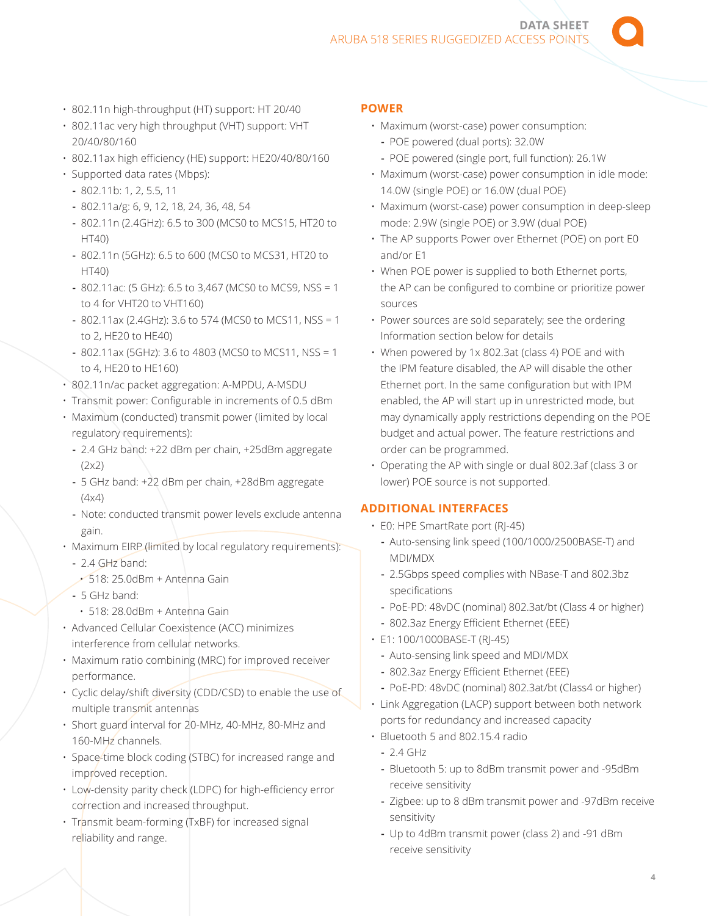**DATA SHEET**  ARUBA 518 SERIES RUGGEDIZED ACCESS POINTS

- 802.11n high-throughput (HT) support: HT 20/40
- 802.11ac very high throughput (VHT) support: VHT 20/40/80/160
- 802.11ax high efficiency (HE) support: HE20/40/80/160
- Supported data rates (Mbps):
- **-** 802.11b: 1, 2, 5.5, 11
- **-** 802.11a/g: 6, 9, 12, 18, 24, 36, 48, 54
- **-** 802.11n (2.4GHz): 6.5 to 300 (MCS0 to MCS15, HT20 to HT40)
- **-** 802.11n (5GHz): 6.5 to 600 (MCS0 to MCS31, HT20 to HT40)
- **-** 802.11ac: (5 GHz): 6.5 to 3,467 (MCS0 to MCS9, NSS = 1 to 4 for VHT20 to VHT160)
- **-** 802.11ax (2.4GHz): 3.6 to 574 (MCS0 to MCS11, NSS = 1 to 2, HE20 to HE40)
- **-** 802.11ax (5GHz): 3.6 to 4803 (MCS0 to MCS11, NSS = 1 to 4, HE20 to HE160)
- 802.11n/ac packet aggregation: A-MPDU, A-MSDU
- Transmit power: Configurable in increments of 0.5 dBm
- Maximum (conducted) transmit power (limited by local regulatory requirements):
	- **-** 2.4 GHz band: +22 dBm per chain, +25dBm aggregate (2x2)
	- **-** 5 GHz band: +22 dBm per chain, +28dBm aggregate (4x4)
	- **-** Note: conducted transmit power levels exclude antenna gain.
- Maximum EIRP (limited by local regulatory requirements):
	- **-** 2.4 GHz band:
	- 518: 25.0dBm + Antenna Gain
	- **-** 5 GHz band:
	- 518: 28.0dBm + Antenna Gain
- Advanced Cellular Coexistence (ACC) minimizes interference from cellular networks.
- Maximum ratio combining (MRC) for improved receiver performance.
- Cyclic delay/shift diversity (CDD/CSD) to enable the use of multiple transmit antennas
- Short guard interval for 20-MHz, 40-MHz, 80-MHz and 160-MHz channels.
- Space-time block coding (STBC) for increased range and improved reception.
- Low-density parity check (LDPC) for high-efficiency error correction and increased throughput.
- Transmit beam-forming (TxBF) for increased signal reliability and range.

## **POWER**

- Maximum (worst-case) power consumption:
	- **-** POE powered (dual ports): 32.0W
	- **-** POE powered (single port, full function): 26.1W
- Maximum (worst-case) power consumption in idle mode: 14.0W (single POE) or 16.0W (dual POE)
- Maximum (worst-case) power consumption in deep-sleep mode: 2.9W (single POE) or 3.9W (dual POE)
- The AP supports Power over Ethernet (POE) on port E0 and/or E1
- When POE power is supplied to both Ethernet ports, the AP can be configured to combine or prioritize power sources
- Power sources are sold separately; see the ordering Information section below for details
- When powered by 1x 802.3at (class 4) POE and with the IPM feature disabled, the AP will disable the other Ethernet port. In the same configuration but with IPM enabled, the AP will start up in unrestricted mode, but may dynamically apply restrictions depending on the POE budget and actual power. The feature restrictions and order can be programmed.
- Operating the AP with single or dual 802.3af (class 3 or lower) POE source is not supported.

## **ADDITIONAL INTERFACES**

- E0: HPE SmartRate port (RJ-45)
	- **-** Auto-sensing link speed (100/1000/2500BASE-T) and MDI/MDX
	- **-** 2.5Gbps speed complies with NBase-T and 802.3bz specifications
	- **-** PoE-PD: 48vDC (nominal) 802.3at/bt (Class 4 or higher)
	- **-** 802.3az Energy Efficient Ethernet (EEE)
- E1: 100/1000BASE-T (RJ-45)
	- **-** Auto-sensing link speed and MDI/MDX
	- **-** 802.3az Energy Efficient Ethernet (EEE)
	- **-** PoE-PD: 48vDC (nominal) 802.3at/bt (Class4 or higher)
- Link Aggregation (LACP) support between both network ports for redundancy and increased capacity
- Bluetooth 5 and 802.15.4 radio
	- **-** 2.4 GHz
	- **-** Bluetooth 5: up to 8dBm transmit power and -95dBm receive sensitivity
	- **-** Zigbee: up to 8 dBm transmit power and -97dBm receive sensitivity
	- **-** Up to 4dBm transmit power (class 2) and -91 dBm receive sensitivity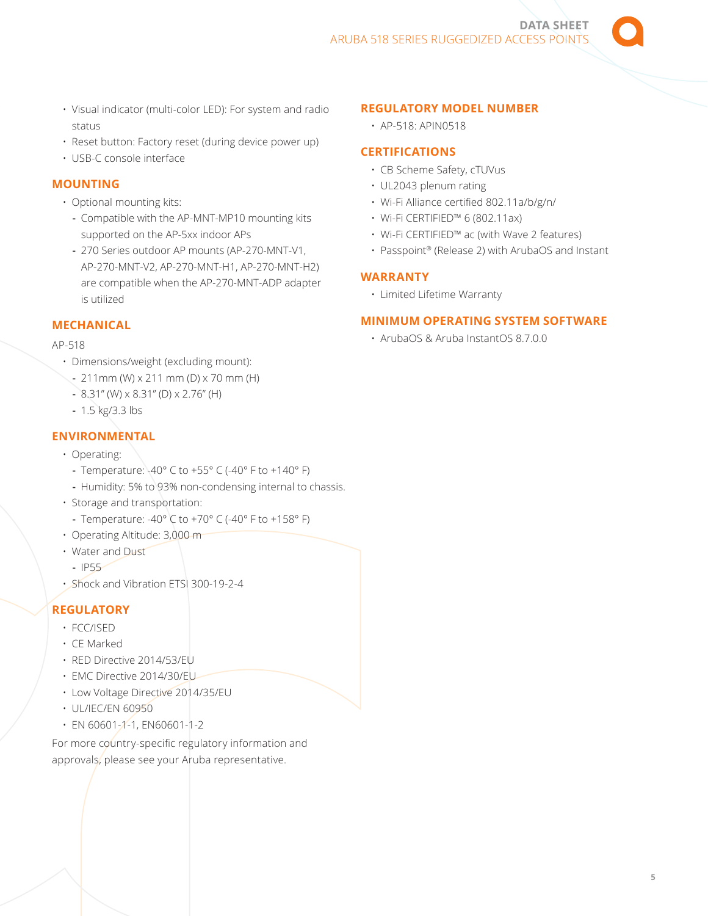- Visual indicator (multi-color LED): For system and radio status
- Reset button: Factory reset (during device power up)
- USB-C console interface

# **MOUNTING**

- Optional mounting kits:
	- **-** Compatible with the AP-MNT-MP10 mounting kits supported on the AP-5xx indoor APs
	- **-** 270 Series outdoor AP mounts (AP-270-MNT-V1, AP-270-MNT-V2, AP-270-MNT-H1, AP-270-MNT-H2) are compatible when the AP-270-MNT-ADP adapter is utilized

# **MECHANICAL**

## AP-518

- Dimensions/weight (excluding mount):
- **-** 211mm (W) x 211 mm (D) x 70 mm (H)
- **-** 8.31" (W) x 8.31" (D) x 2.76" (H)
- **-** 1.5 kg/3.3 lbs

# **ENVIRONMENTAL**

- Operating:
	- **-** Temperature: -40° C to +55° C (-40° F to +140° F)
	- **-** Humidity: 5% to 93% non-condensing internal to chassis.
- Storage and transportation:
	- **-** Temperature: -40° C to +70° C (-40° F to +158° F)
- Operating Altitude: 3,000 m
- Water and Dust
	- **-** IP55
- Shock and Vibration ETSI 300-19-2-4

# **REGULATORY**

- FCC/ISED
- CE Marked
- RED Directive 2014/53/EU
- EMC Directive 2014/30/EU
- Low Voltage Directive 2014/35/EU
- UL/IEC/EN 60950
- EN 60601-1-1, EN60601-1-2

For more country-specific regulatory information and approvals, please see your Aruba representative.

# **REGULATORY MODEL NUMBER**

• AP-518: APIN0518

# **CERTIFICATIONS**

- CB Scheme Safety, cTUVus
- UL2043 plenum rating
- Wi-Fi Alliance certified 802.11a/b/g/n/
- Wi-Fi CERTIFIED™ 6 (802.11ax)
- Wi-Fi CERTIFIED™ ac (with Wave 2 features)
- Passpoint® (Release 2) with ArubaOS and Instant

# **WARRANTY**

• Limited Lifetime Warranty

## **MINIMUM OPERATING SYSTEM SOFTWARE**

• ArubaOS & Aruba InstantOS 8.7.0.0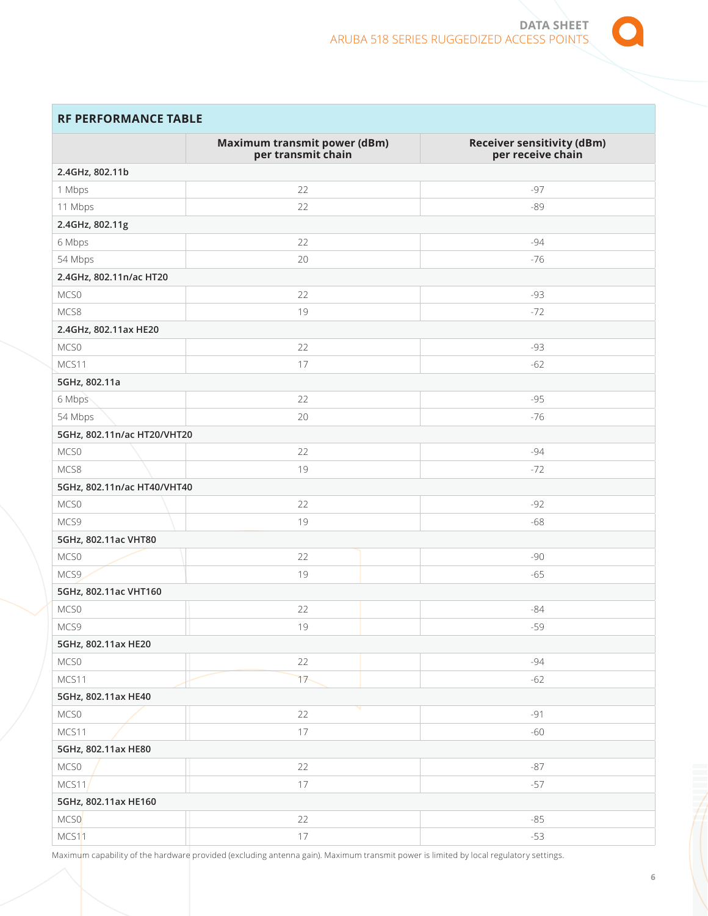

|                             | <b>Maximum transmit power (dBm)</b><br>per transmit chain | <b>Receiver sensitivity (dBm)</b><br>per receive chain |
|-----------------------------|-----------------------------------------------------------|--------------------------------------------------------|
| 2.4GHz, 802.11b             |                                                           |                                                        |
| 1 Mbps                      | 22                                                        | $-97$                                                  |
| 11 Mbps                     | 22                                                        | $-89$                                                  |
| 2.4GHz, 802.11g             |                                                           |                                                        |
| 6 Mbps                      | 22                                                        | $-94$                                                  |
| 54 Mbps                     | 20                                                        | $-76$                                                  |
| 2.4GHz, 802.11n/ac HT20     |                                                           |                                                        |
| MCS0                        | 22                                                        | $-93$                                                  |
| MCS8                        | 19                                                        | $-72$                                                  |
| 2.4GHz, 802.11ax HE20       |                                                           |                                                        |
| MCS0                        | 22                                                        | $-93$                                                  |
| MCS11                       | 17                                                        | $-62$                                                  |
| 5GHz, 802.11a               |                                                           |                                                        |
| 6 Mbps                      | 22                                                        | $-95$                                                  |
| 54 Mbps                     | 20                                                        | $-76$                                                  |
| 5GHz, 802.11n/ac HT20/VHT20 |                                                           |                                                        |
| MCS0                        | 22                                                        | $-94$                                                  |
| MCS8                        | 19                                                        | $-72$                                                  |
| 5GHz, 802.11n/ac HT40/VHT40 |                                                           |                                                        |
| MCS0                        | 22                                                        | $-92$                                                  |
| MCS9                        | 19                                                        | $-68$                                                  |
| 5GHz, 802.11ac VHT80        |                                                           |                                                        |
| MCS0                        | 22                                                        | $-90$                                                  |
| MCS9                        | 19                                                        | $-65$                                                  |
| 5GHz, 802.11ac VHT160       |                                                           |                                                        |
| MCS0                        | 22                                                        | $-84$                                                  |
| MCS9                        | 19                                                        | $-59$                                                  |
| 5GHz, 802.11ax HE20         |                                                           |                                                        |
| MCS0                        | 22                                                        | $-94$                                                  |
| MCS11                       | 17                                                        | $-62$                                                  |
| 5GHz, 802.11ax HE40         |                                                           |                                                        |
| MCS0                        | 22                                                        | $-91$                                                  |
| MCS11                       | 17                                                        | $-60$                                                  |
| 5GHz, 802.11ax HE80         |                                                           |                                                        |
| MCS0                        | 22                                                        | $-87$                                                  |
| MCS11                       | 17                                                        | $-57$                                                  |
| 5GHz, 802.11ax HE160        |                                                           |                                                        |
| MCS0                        | 22                                                        | $-85$                                                  |
| MCS11                       | 17                                                        | $-53$                                                  |

Maximum capability of the hardware provided (excluding antenna gain). Maximum transmit power is limited by local regulatory settings.